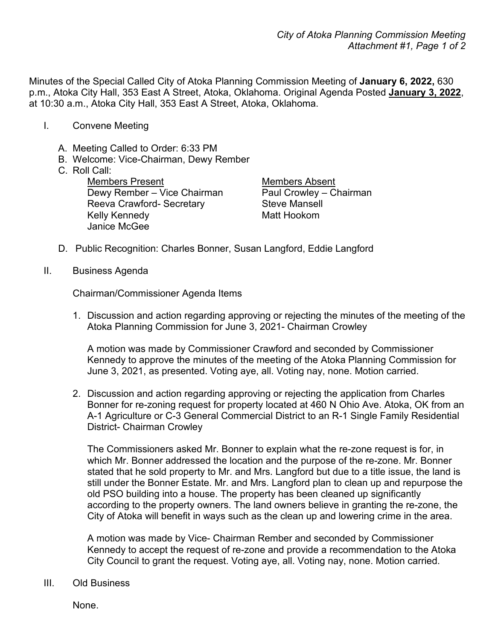Minutes of the Special Called City of Atoka Planning Commission Meeting of **January 6, 2022,** 630 p.m., Atoka City Hall, 353 East A Street, Atoka, Oklahoma. Original Agenda Posted **January 3, 2022**, at 10:30 a.m., Atoka City Hall, 353 East A Street, Atoka, Oklahoma.

## I. Convene Meeting

- A. Meeting Called to Order: 6:33 PM
- B. Welcome: Vice-Chairman, Dewy Rember
- C. Roll Call:

Members Present<br>
Dewy Rember – Vice Chairman<br>
Paul Crowley – Chairman Dewy Rember – Vice Chairman Reeva Crawford- Secretary **Steve Mansell** Kelly Kennedy **Matt Hookom** Janice McGee

- D. Public Recognition: Charles Bonner, Susan Langford, Eddie Langford
- II. Business Agenda

Chairman/Commissioner Agenda Items

1. Discussion and action regarding approving or rejecting the minutes of the meeting of the Atoka Planning Commission for June 3, 2021- Chairman Crowley

A motion was made by Commissioner Crawford and seconded by Commissioner Kennedy to approve the minutes of the meeting of the Atoka Planning Commission for June 3, 2021, as presented. Voting aye, all. Voting nay, none. Motion carried.

2. Discussion and action regarding approving or rejecting the application from Charles Bonner for re-zoning request for property located at 460 N Ohio Ave. Atoka, OK from an A-1 Agriculture or C-3 General Commercial District to an R-1 Single Family Residential District- Chairman Crowley

The Commissioners asked Mr. Bonner to explain what the re-zone request is for, in which Mr. Bonner addressed the location and the purpose of the re-zone. Mr. Bonner stated that he sold property to Mr. and Mrs. Langford but due to a title issue, the land is still under the Bonner Estate. Mr. and Mrs. Langford plan to clean up and repurpose the old PSO building into a house. The property has been cleaned up significantly according to the property owners. The land owners believe in granting the re-zone, the City of Atoka will benefit in ways such as the clean up and lowering crime in the area.

A motion was made by Vice- Chairman Rember and seconded by Commissioner Kennedy to accept the request of re-zone and provide a recommendation to the Atoka City Council to grant the request. Voting aye, all. Voting nay, none. Motion carried.

III. Old Business

None.